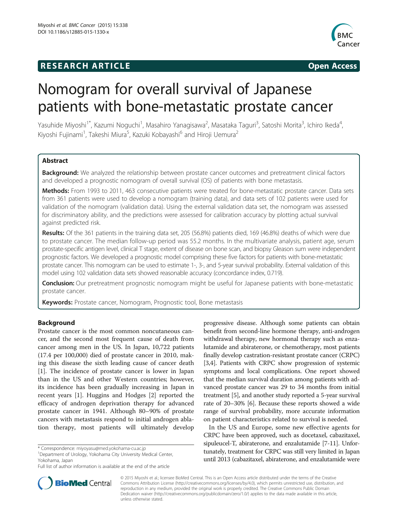# **RESEARCH ARTICLE Example 2014 CONSIDERING CONSIDERING CONSIDERING CONSIDERING CONSIDERING CONSIDERING CONSIDERING CONSIDERING CONSIDERING CONSIDERING CONSIDERING CONSIDERING CONSIDERING CONSIDERING CONSIDERING CONSIDE**



# Nomogram for overall survival of Japanese patients with bone-metastatic prostate cancer

Yasuhide Miyoshi<sup>1\*</sup>, Kazumi Noguchi<sup>1</sup>, Masahiro Yanagisawa<sup>2</sup>, Masataka Taguri<sup>3</sup>, Satoshi Morita<sup>3</sup>, Ichiro Ikeda<sup>4</sup> , Kiyoshi Fujinami<sup>1</sup>, Takeshi Miura<sup>5</sup>, Kazuki Kobayashi<sup>6</sup> and Hiroji Uemura<sup>2</sup>

# Abstract

Background: We analyzed the relationship between prostate cancer outcomes and pretreatment clinical factors and developed a prognostic nomogram of overall survival (OS) of patients with bone metastasis.

Methods: From 1993 to 2011, 463 consecutive patients were treated for bone-metastatic prostate cancer. Data sets from 361 patients were used to develop a nomogram (training data), and data sets of 102 patients were used for validation of the nomogram (validation data). Using the external validation data set, the nomogram was assessed for discriminatory ability, and the predictions were assessed for calibration accuracy by plotting actual survival against predicted risk.

Results: Of the 361 patients in the training data set, 205 (56.8%) patients died, 169 (46.8%) deaths of which were due to prostate cancer. The median follow-up period was 55.2 months. In the multivariate analysis, patient age, serum prostate-specific antigen level, clinical T stage, extent of disease on bone scan, and biopsy Gleason sum were independent prognostic factors. We developed a prognostic model comprising these five factors for patients with bone-metastatic prostate cancer. This nomogram can be used to estimate 1-, 3-, and 5-year survival probability. External validation of this model using 102 validation data sets showed reasonable accuracy (concordance index, 0.719).

**Conclusion:** Our pretreatment prognostic nomogram might be useful for Japanese patients with bone-metastatic prostate cancer.

Keywords: Prostate cancer, Nomogram, Prognostic tool, Bone metastasis

# Background

Prostate cancer is the most common noncutaneous cancer, and the second most frequent cause of death from cancer among men in the US. In Japan, 10,722 patients (17.4 per 100,000) died of prostate cancer in 2010, making this disease the sixth leading cause of cancer death [[1\]](#page-5-0). The incidence of prostate cancer is lower in Japan than in the US and other Western countries; however, its incidence has been gradually increasing in Japan in recent years [[1\]](#page-5-0). Huggins and Hodges [[2\]](#page-5-0) reported the efficacy of androgen deprivation therapy for advanced prostate cancer in 1941. Although 80–90% of prostate cancers with metastasis respond to initial androgen ablation therapy, most patients will ultimately develop

<sup>1</sup>Department of Urology, Yokohama City University Medical Center, Yokohama, Japan

progressive disease. Although some patients can obtain benefit from second-line hormone therapy, anti-androgen withdrawal therapy, new hormonal therapy such as enzalutamide and abiraterone, or chemotherapy, most patients finally develop castration-resistant prostate cancer (CRPC) [[3,4\]](#page-5-0). Patients with CRPC show progression of systemic symptoms and local complications. One report showed that the median survival duration among patients with advanced prostate cancer was 29 to 34 months from initial treatment [[5](#page-6-0)], and another study reported a 5-year survival rate of 20–30% [\[6](#page-6-0)]. Because these reports showed a wide range of survival probability, more accurate information on patient characteristics related to survival is needed.

In the US and Europe, some new effective agents for CRPC have been approved, such as docetaxel, cabazitaxel, sipuleucel-T, abiraterone, and enzalutamide [\[7](#page-6-0)-[11](#page-6-0)]. Unfortunately, treatment for CRPC was still very limited in Japan until 2013 (cabazitaxel, abiraterone, and enzalutamide were



© 2015 Miyoshi et al.; licensee BioMed Central. This is an Open Access article distributed under the terms of the Creative Commons Attribution License [\(http://creativecommons.org/licenses/by/4.0\)](http://creativecommons.org/licenses/by/4.0), which permits unrestricted use, distribution, and reproduction in any medium, provided the original work is properly credited. The Creative Commons Public Domain Dedication waiver [\(http://creativecommons.org/publicdomain/zero/1.0/](http://creativecommons.org/publicdomain/zero/1.0/)) applies to the data made available in this article, unless otherwise stated.

<sup>\*</sup> Correspondence: [miyoyasu@med.yokohama-cu.ac.jp](mailto:miyoyasu@med.yokohama-cu.ac.jp) <sup>1</sup>

Full list of author information is available at the end of the article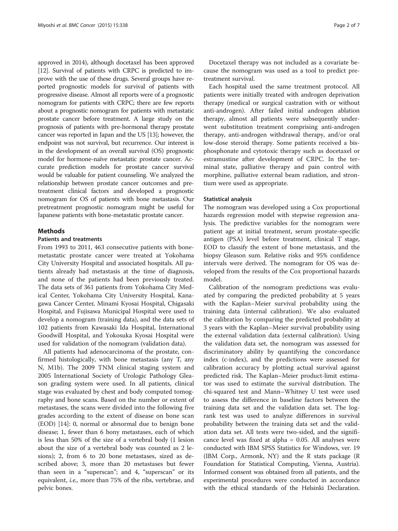approved in 2014), although docetaxel has been approved [[12](#page-6-0)]. Survival of patients with CRPC is predicted to improve with the use of these drugs. Several groups have reported prognostic models for survival of patients with progressive disease. Almost all reports were of a prognostic nomogram for patients with CRPC; there are few reports about a prognostic nomogram for patients with metastatic prostate cancer before treatment. A large study on the prognosis of patients with pre-hormonal therapy prostate cancer was reported in Japan and the US [\[13\]](#page-6-0); however, the endpoint was not survival, but recurrence. Our interest is in the development of an overall survival (OS) prognostic model for hormone-naïve metastatic prostate cancer. Accurate prediction models for prostate cancer survival would be valuable for patient counseling. We analyzed the relationship between prostate cancer outcomes and pretreatment clinical factors and developed a prognostic nomogram for OS of patients with bone metastasis. Our pretreatment prognostic nomogram might be useful for Japanese patients with bone-metastatic prostate cancer.

# Methods

### Patients and treatments

From 1993 to 2011, 463 consecutive patients with bonemetastatic prostate cancer were treated at Yokohama City University Hospital and associated hospitals. All patients already had metastasis at the time of diagnosis, and none of the patients had been previously treated. The data sets of 361 patients from Yokohama City Medical Center, Yokohama City University Hospital, Kanagawa Cancer Center, Minami Kyosai Hospital, Chigasaki Hospital, and Fujisawa Municipal Hospital were used to develop a nomogram (training data), and the data sets of 102 patients from Kawasaki Ida Hospital, International Goodwill Hospital, and Yokosuka Kyosai Hospital were used for validation of the nomogram (validation data).

All patients had adenocarcinoma of the prostate, confirmed histologically, with bone metastasis (any T, any N, M1b). The 2009 TNM clinical staging system and 2005 International Society of Urologic Pathology Gleason grading system were used. In all patients, clinical stage was evaluated by chest and body computed tomography and bone scans. Based on the number or extent of metastases, the scans were divided into the following five grades according to the extent of disease on bone scan (EOD) [\[14](#page-6-0)]: 0, normal or abnormal due to benign bone disease; 1, fewer than 6 bony metastases, each of which is less than 50% of the size of a vertebral body (1 lesion about the size of a vertebral body was counted as 2 lesions); 2, from 6 to 20 bone metastases, sized as described above; 3, more than 20 metastases but fewer than seen in a "superscan"; and 4, "superscan" or its equivalent, i.e., more than 75% of the ribs, vertebrae, and pelvic bones.

Docetaxel therapy was not included as a covariate because the nomogram was used as a tool to predict pretreatment survival.

Each hospital used the same treatment protocol. All patients were initially treated with androgen deprivation therapy (medical or surgical castration with or without anti-androgen). After failed initial androgen ablation therapy, almost all patients were subsequently underwent substitution treatment comprising anti-androgen therapy, anti-androgen withdrawal therapy, and/or oral low-dose steroid therapy. Some patients received a bisphosphonate and cytotoxic therapy such as docetaxel or estramustine after development of CRPC. In the terminal state, palliative therapy and pain control with morphine, palliative external beam radiation, and strontium were used as appropriate.

#### Statistical analysis

The nomogram was developed using a Cox proportional hazards regression model with stepwise regression analysis. The predictive variables for the nomogram were patient age at initial treatment, serum prostate-specific antigen (PSA) level before treatment, clinical T stage, EOD to classify the extent of bone metastasis, and the biopsy Gleason sum. Relative risks and 95% confidence intervals were derived. The nomogram for OS was developed from the results of the Cox proportional hazards model.

Calibration of the nomogram predictions was evaluated by comparing the predicted probability at 5 years with the Kaplan–Meier survival probability using the training data (internal calibration). We also evaluated the calibration by comparing the predicted probability at 3 years with the Kaplan–Meier survival probability using the external validation data (external calibration). Using the validation data set, the nomogram was assessed for discriminatory ability by quantifying the concordance index (c-index), and the predictions were assessed for calibration accuracy by plotting actual survival against predicted risk. The Kaplan–Meier product-limit estimator was used to estimate the survival distribution. The chi-squared test and Mann–Whitney U test were used to assess the difference in baseline factors between the training data set and the validation data set. The logrank test was used to analyze differences in survival probability between the training data set and the validation data set. All tests were two-sided, and the significance level was fixed at alpha = 0.05. All analyses were conducted with IBM SPSS Statistics for Windows, ver. 19 (IBM Corp., Armonk, NY) and the R stats package (R Foundation for Statistical Computing, Vienna, Austria). Informed consent was obtained from all patients, and the experimental procedures were conducted in accordance with the ethical standards of the Helsinki Declaration.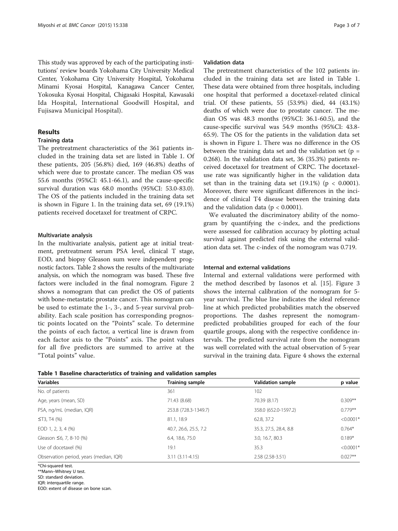This study was approved by each of the participating institutions' review boards Yokohama City University Medical Center, Yokohama City University Hospital, Yokohama Minami Kyosai Hospital, Kanagawa Cancer Center, Yokosuka Kyosai Hospital, Chigasaki Hospital, Kawasaki Ida Hospital, International Goodwill Hospital, and Fujisawa Municipal Hospital).

# Results

# Training data

The pretreatment characteristics of the 361 patients included in the training data set are listed in Table 1. Of these patients, 205 (56.8%) died, 169 (46.8%) deaths of which were due to prostate cancer. The median OS was 55.6 months (95%CI: 45.1-66.1), and the cause-specific survival duration was 68.0 months (95%CI: 53.0-83.0). The OS of the patients included in the training data set is shown in Figure [1](#page-3-0). In the training data set, 69 (19.1%) patients received docetaxel for treatment of CRPC.

### Multivariate analysis

In the multivariate analysis, patient age at initial treatment, pretreatment serum PSA level, clinical T stage, EOD, and biopsy Gleason sum were independent prognostic factors. Table [2](#page-3-0) shows the results of the multivariate analysis, on which the nomogram was based. These five factors were included in the final nomogram. Figure [2](#page-4-0) shows a nomogram that can predict the OS of patients with bone-metastatic prostate cancer. This nomogram can be used to estimate the 1-, 3-, and 5-year survival probability. Each scale position has corresponding prognostic points located on the "Points" scale. To determine the points of each factor, a vertical line is drawn from each factor axis to the "Points" axis. The point values for all five predictors are summed to arrive at the "Total points" value.

| rane k |  | ΩŤ | 7 |
|--------|--|----|---|
|--------|--|----|---|

#### Validation data

The pretreatment characteristics of the 102 patients included in the training data set are listed in Table 1. These data were obtained from three hospitals, including one hospital that performed a docetaxel-related clinical trial. Of these patients, 55 (53.9%) died, 44 (43.1%) deaths of which were due to prostate cancer. The median OS was 48.3 months (95%CI: 36.1-60.5), and the cause-specific survival was 54.9 months (95%CI: 43.8- 65.9). The OS for the patients in the validation data set is shown in Figure [1.](#page-3-0) There was no difference in the OS between the training data set and the validation set ( $p =$ 0.268). In the validation data set, 36 (35.3%) patients received docetaxel for treatment of CRPC. The docetaxeluse rate was significantly higher in the validation data set than in the training data set  $(19.1\%)$  (p < 0.0001). Moreover, there were significant differences in the incidence of clinical T4 disease between the training data and the validation data ( $p < 0.0001$ ).

We evaluated the discriminatory ability of the nomogram by quantifying the c-index, and the predictions were assessed for calibration accuracy by plotting actual survival against predicted risk using the external validation data set. The c-index of the nomogram was 0.719.

# Internal and external validations

Internal and external validations were performed with the method described by Iasonos et al. [[15\]](#page-6-0). Figure [3](#page-4-0) shows the internal calibration of the nomogram for 5 year survival. The blue line indicates the ideal reference line at which predicted probabilities match the observed proportions. The dashes represent the nomogrampredicted probabilities grouped for each of the four quartile groups, along with the respective confidence intervals. The predicted survival rate from the nomogram was well correlated with the actual observation of 5-year survival in the training data. Figure [4](#page-4-0) shows the external

| <b>Variables</b>                        | <b>Training sample</b> | <b>Validation sample</b> | p value     |
|-----------------------------------------|------------------------|--------------------------|-------------|
| No. of patients                         | 361                    | 102                      |             |
| Age, years (mean, SD)                   | 71.43 (8.68)           | 70.39 (8.17)             | $0.309**$   |
| PSA, ng/mL (median, IQR)                | 253.8 (728.3-1349.7)   | 358.0 (652.0-1597.2)     | $0.779**$   |
| $\leq$ T3, T4 (%)                       | 81.1, 18.9             | 62.8, 37.2               | $< 0.0001*$ |
| EOD 1, 2, 3, 4 (%)                      | 40.7, 26.6, 25.5, 7.2  | 35.3, 27.5, 28.4, 8.8    | $0.764*$    |
| Gleason ≤6, 7, 8-10 (%)                 | 6.4, 18.6, 75.0        | 3.0, 16.7, 80.3          | $0.189*$    |
| Use of docetaxel (%)                    | 19.1                   | 35.3                     | $< 0.0001*$ |
| Observation period, years (median, IQR) | $3.11(3.11 - 4.15)$    | 2.58 (2.58-3.51)         | $0.027**$   |

\*Chi-squared test.

\*\*Mann–Whitney U test.

SD: standard deviation.

IQR: interquartile range.

EOD: extent of disease on bone scan.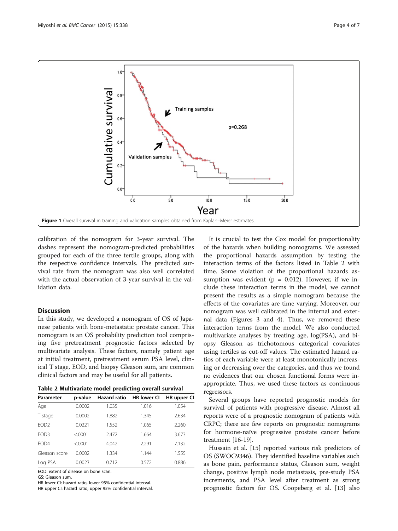<span id="page-3-0"></span>

calibration of the nomogram for 3-year survival. The dashes represent the nomogram-predicted probabilities grouped for each of the three tertile groups, along with the respective confidence intervals. The predicted survival rate from the nomogram was also well correlated with the actual observation of 3-year survival in the validation data.

# **Discussion**

In this study, we developed a nomogram of OS of Japanese patients with bone-metastatic prostate cancer. This nomogram is an OS probability prediction tool comprising five pretreatment prognostic factors selected by multivariate analysis. These factors, namely patient age at initial treatment, pretreatment serum PSA level, clinical T stage, EOD, and biopsy Gleason sum, are common clinical factors and may be useful for all patients.

| Table 2 Multivariate model predicting overall survival |  |  |  |
|--------------------------------------------------------|--|--|--|
|--------------------------------------------------------|--|--|--|

| Parameter        | p-value | Hazard ratio | <b>HR lower CI</b> | HR upper CI |
|------------------|---------|--------------|--------------------|-------------|
| Age              | 0.0002  | 1.035        | 1.016              | 1.054       |
| T stage          | 0.0002  | 1.882        | 1.345              | 2.634       |
| FOD <sub>2</sub> | 0.0221  | 1.552        | 1.065              | 2.260       |
| FOD3             | < 0001  | 2.472        | 1.664              | 3.673       |
| FOD4             | < 0.001 | 4.042        | 2.291              | 7.132       |
| Gleason score    | 0.0002  | 1.334        | 1.144              | 1.555       |
| Log PSA          | 0.0023  | 0.712        | 0.572              | 0.886       |

EOD: extent of disease on bone scan.

GS: Gleason sum.

HR lower CI: hazard ratio, lower 95% confidential interval.

HR upper CI: hazard ratio, upper 95% confidential interval.

It is crucial to test the Cox model for proportionality of the hazards when building nomograms. We assessed the proportional hazards assumption by testing the interaction terms of the factors listed in Table 2 with time. Some violation of the proportional hazards assumption was evident ( $p = 0.012$ ). However, if we include these interaction terms in the model, we cannot present the results as a simple nomogram because the effects of the covariates are time varying. Moreover, our nomogram was well calibrated in the internal and external data (Figures [3](#page-4-0) and [4\)](#page-4-0). Thus, we removed these interaction terms from the model. We also conducted multivariate analyses by treating age, log(PSA), and biopsy Gleason as trichotomous categorical covariates using tertiles as cut-off values. The estimated hazard ratios of each variable were at least monotonically increasing or decreasing over the categories, and thus we found no evidences that our chosen functional forms were inappropriate. Thus, we used these factors as continuous regressors.

Several groups have reported prognostic models for survival of patients with progressive disease. Almost all reports were of a prognostic nomogram of patients with CRPC; there are few reports on prognostic nomograms for hormone-naïve progressive prostate cancer before treatment [[16-19\]](#page-6-0).

Hussain et al. [\[15](#page-6-0)] reported various risk predictors of OS (SWOG9346). They identified baseline variables such as bone pain, performance status, Gleason sum, weight change, positive lymph node metastasis, pre-study PSA increments, and PSA level after treatment as strong prognostic factors for OS. Coopeberg et al. [\[13](#page-6-0)] also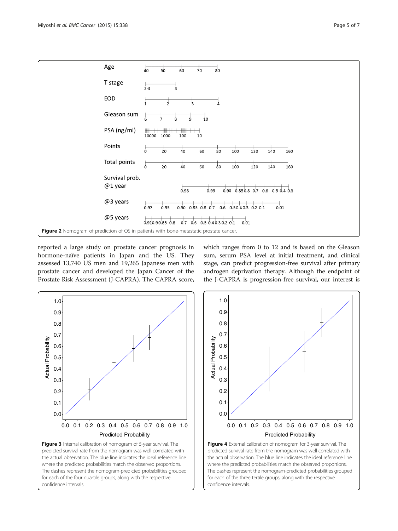<span id="page-4-0"></span>

reported a large study on prostate cancer prognosis in hormone-naïve patients in Japan and the US. They assessed 13,740 US men and 19,265 Japanese men with prostate cancer and developed the Japan Cancer of the Prostate Risk Assessment (J-CAPRA). The CAPRA score,







confidence intervals.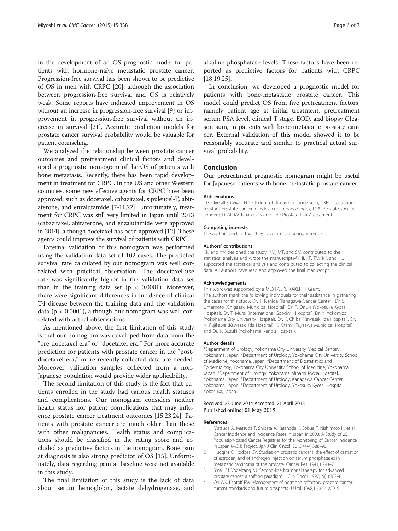<span id="page-5-0"></span>in the development of an OS prognostic model for patients with hormone-naïve metastatic prostate cancer. Progression-free survival has been shown to be predictive of OS in men with CRPC [\[20\]](#page-6-0), although the association between progression-free survival and OS is relatively weak. Some reports have indicated improvement in OS without an increase in progression-free survival [\[9\]](#page-6-0) or improvement in progression-free survival without an increase in survival [\[21](#page-6-0)]. Accurate prediction models for prostate cancer survival probability would be valuable for patient counseling.

We analyzed the relationship between prostate cancer outcomes and pretreatment clinical factors and developed a prognostic nomogram of the OS of patients with bone metastasis. Recently, there has been rapid development in treatment for CRPC. In the US and other Western countries, some new effective agents for CRPC have been approved, such as docetaxel, cabazitaxel, sipuleucel-T, abiraterone, and enzalutamide [\[7-11,22](#page-6-0)]. Unfortunately, treatment for CRPC was still very limited in Japan until 2013 (cabazitaxel, abiraterone, and enzalutamide were approved in 2014), although docetaxel has been approved [[12](#page-6-0)]. These agents could improve the survival of patients with CRPC.

External validation of this nomogram was performed using the validation data set of 102 cases. The predicted survival rate calculated by our nomogram was well correlated with practical observation. The docetaxel-use rate was significantly higher in the validation data set than in the training data set ( $p < 0.0001$ ). Moreover, there were significant differences in incidence of clinical T4 disease between the training data and the validation data (p < 0.0001), although our nomogram was well correlated with actual observations.

As mentioned above, the first limitation of this study is that our nomogram was developed from data from the "pre-docetaxel era" or "docetaxel era." For more accurate prediction for patients with prostate cancer in the "postdocetaxel era," more recently collected data are needed. Moreover, validation samples collected from a non-Japanese population would provide wider applicability.

The second limitation of this study is the fact that patients enrolled in the study had various health statuses and complications. Our nomogram considers neither health status nor patient complications that may influence prostate cancer treatment outcomes [[15](#page-6-0),[23](#page-6-0),[24](#page-6-0)]. Patients with prostate cancer are much older than those with other malignancies. Health status and complications should be classified in the rating score and included as predictive factors in the nomogram. Bone pain at diagnosis is also strong predictor of OS [[15\]](#page-6-0). Unfortunately, data regarding pain at baseline were not available in this study.

The final limitation of this study is the lack of data about serum hemoglobin, lactate dehydrogenase, and alkaline phosphatase levels. These factors have been reported as predictive factors for patients with CRPC [[18,19,25\]](#page-6-0).

In conclusion, we developed a prognostic model for patients with bone-metastatic prostate cancer. This model could predict OS from five pretreatment factors, namely patient age at initial treatment, pretreatment serum PSA level, clinical T stage, EOD, and biopsy Gleason sum, in patients with bone-metastatic prostate cancer. External validation of this model showed it to be reasonably accurate and similar to practical actual survival probability.

### Conclusion

Our pretreatment prognostic nomogram might be useful for Japanese patients with bone-metastatic prostate cancer.

#### Abbreviations

OS: Overall survival; EOD: Extent of disease on bone scan; CRPC: Castrationresistant prostate cancer; c-index: concordance index; PSA: Prostate-specific antigen; J-CAPRA: Japan Cancer of the Prostate Risk Assessment.

#### Competing interests

The authors declare that they have no competing interests.

#### Authors' contributions

KN and YM designed the study. YM, MT, and SM contributed to the statistical analysis and wrote the manuscript.MY, II, KF, TM, KK, and HU supported the statistical analysis and contributed to collecting the clinical data. All authors have read and approved the final manuscript.

#### Acknowledgements

This work was supported by a MEXT/JSPS KAKENHI Grant. The authors thank the following individuals for their assistance in gathering the cases for this study: Dr. T. Kishida (Kanagawa Cancer Center), Dr. S. Umemoto (Chigasaki Municipal Hospital), Dr. T. Onuki (Yokosuka Kyosai Hospital), Dr. T. Murai (International Goodwill Hospital), Dr. Y. Yokomizo (Yokohama City University Hospital), Dr. K. Chiba (Kawasaki Ida Hospital), Dr. N. Fujikawa (Kawasaki Ida Hospital), K. Kitami (Fujisawa Municipal Hospital), and Dr. K. Suzuki (Yokohama Nanbu Hospital).

#### Author details

<sup>1</sup>Department of Urology, Yokohama City University Medical Center Yokohama, Japan. <sup>2</sup>Department of Urology, Yokohama City University School of Medicine, Yokohama, Japan. <sup>3</sup>Department of Biostatistics and Epidemiology, Yokohama City University School of Medicine, Yokohama, Japan. <sup>4</sup> Department of Urology, Yokohama Minami Kyosai Hospital, Yokohama, Japan. <sup>5</sup>Department of Urology, Kanagawa Cancer Center, Yokohama, Japan. <sup>6</sup>Department of Urology, Yokosuka Kyosai Hospital Yokosuka, Japan.

#### Received: 23 June 2014 Accepted: 21 April 2015 Published online: 01 May 2015

#### References

- 1. Matsuda A, Matsuda T, Shibata A, Katanoda K, Sobue T, Nishimoto H, et al. Cancer Incidence and Incidence Rates in Japan in 2008: A Study of 25 Population-based Cancer Registries for the Monitoring of Cancer Incidence in Japan (MCIJ) Project. Jpn J Clin Oncol. 2013;44(4):388–96.
- 2. Huggins C, Hodges CV. Studies on prostatic cancer I: the effect of castration, of estrogen, and of androgen injection on serum phosphatases in metastatic carcinoma of the prostate. Cancer Res. 1941;1:293–7.
- 3. Small EJ, Vogelzang NJ. Second-line hormonal therapy for advanced prostate cancer: a shifting paradigm. J Clin Oncol. 1997;15(1):382–8.
- 4. Oh WK, Kantoff PW. Management of hormone refractory prostate cancer: current standards and future prospects. J Urol. 1998;160(4):1220–9.